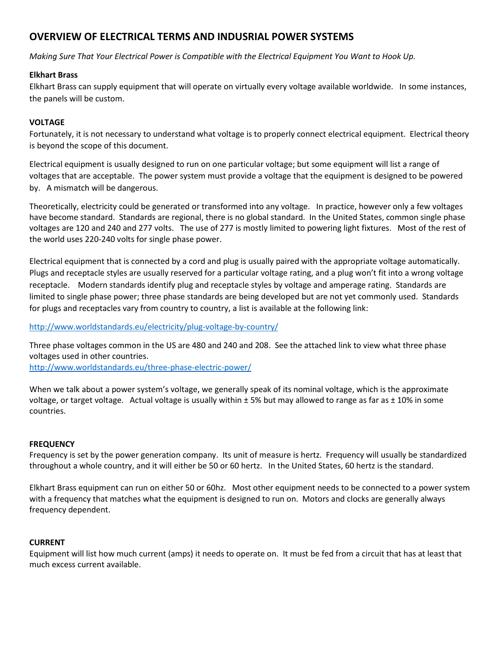# **OVERVIEW OF ELECTRICAL TERMS AND INDUSRIAL POWER SYSTEMS**

*Making Sure That Your Electrical Power is Compatible with the Electrical Equipment You Want to Hook Up.*

# **Elkhart Brass**

Elkhart Brass can supply equipment that will operate on virtually every voltage available worldwide. In some instances, the panels will be custom.

# **VOLTAGE**

Fortunately, it is not necessary to understand what voltage is to properly connect electrical equipment. Electrical theory is beyond the scope of this document.

Electrical equipment is usually designed to run on one particular voltage; but some equipment will list a range of voltages that are acceptable. The power system must provide a voltage that the equipment is designed to be powered by. A mismatch will be dangerous.

Theoretically, electricity could be generated or transformed into any voltage. In practice, however only a few voltages have become standard. Standards are regional, there is no global standard. In the United States, common single phase voltages are 120 and 240 and 277 volts. The use of 277 is mostly limited to powering light fixtures. Most of the rest of the world uses 220-240 volts for single phase power.

Electrical equipment that is connected by a cord and plug is usually paired with the appropriate voltage automatically. Plugs and receptacle styles are usually reserved for a particular voltage rating, and a plug won't fit into a wrong voltage receptacle. Modern standards identify plug and receptacle styles by voltage and amperage rating. Standards are limited to single phase power; three phase standards are being developed but are not yet commonly used. Standards for plugs and receptacles vary from country to country, a list is available at the following link:

<http://www.worldstandards.eu/electricity/plug-voltage-by-country/>

Three phase voltages common in the US are 480 and 240 and 208. See the attached link to view what three phase voltages used in other countries.

<http://www.worldstandards.eu/three-phase-electric-power/>

When we talk about a power system's voltage, we generally speak of its nominal voltage, which is the approximate voltage, or target voltage. Actual voltage is usually within  $\pm$  5% but may allowed to range as far as  $\pm$  10% in some countries.

# **FREQUENCY**

Frequency is set by the power generation company. Its unit of measure is hertz. Frequency will usually be standardized throughout a whole country, and it will either be 50 or 60 hertz. In the United States, 60 hertz is the standard.

Elkhart Brass equipment can run on either 50 or 60hz. Most other equipment needs to be connected to a power system with a frequency that matches what the equipment is designed to run on. Motors and clocks are generally always frequency dependent.

# **CURRENT**

Equipment will list how much current (amps) it needs to operate on. It must be fed from a circuit that has at least that much excess current available.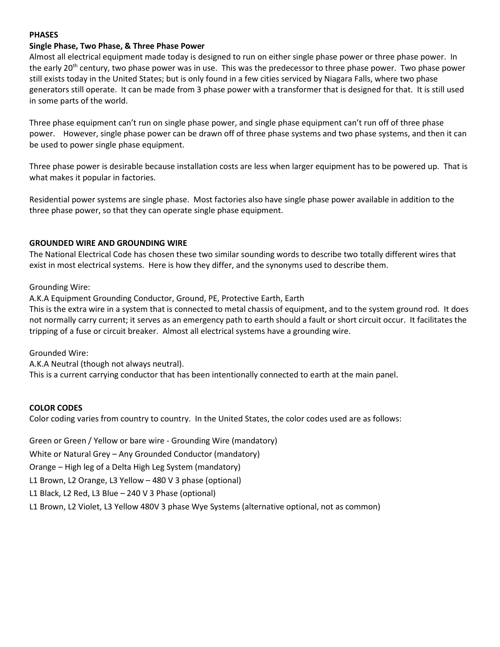#### **PHASES**

#### **Single Phase, Two Phase, & Three Phase Power**

Almost all electrical equipment made today is designed to run on either single phase power or three phase power. In the early 20<sup>th</sup> century, two phase power was in use. This was the predecessor to three phase power. Two phase power still exists today in the United States; but is only found in a few cities serviced by Niagara Falls, where two phase generators still operate. It can be made from 3 phase power with a transformer that is designed for that. It is still used in some parts of the world.

Three phase equipment can't run on single phase power, and single phase equipment can't run off of three phase power. However, single phase power can be drawn off of three phase systems and two phase systems, and then it can be used to power single phase equipment.

Three phase power is desirable because installation costs are less when larger equipment has to be powered up. That is what makes it popular in factories.

Residential power systems are single phase. Most factories also have single phase power available in addition to the three phase power, so that they can operate single phase equipment.

#### **GROUNDED WIRE AND GROUNDING WIRE**

The National Electrical Code has chosen these two similar sounding words to describe two totally different wires that exist in most electrical systems. Here is how they differ, and the synonyms used to describe them.

#### Grounding Wire:

A.K.A Equipment Grounding Conductor, Ground, PE, Protective Earth, Earth

This is the extra wire in a system that is connected to metal chassis of equipment, and to the system ground rod. It does not normally carry current; it serves as an emergency path to earth should a fault or short circuit occur. It facilitates the tripping of a fuse or circuit breaker. Almost all electrical systems have a grounding wire.

Grounded Wire:

A.K.A Neutral (though not always neutral).

This is a current carrying conductor that has been intentionally connected to earth at the main panel.

#### **COLOR CODES**

Color coding varies from country to country. In the United States, the color codes used are as follows:

Green or Green / Yellow or bare wire - Grounding Wire (mandatory)

White or Natural Grey – Any Grounded Conductor (mandatory)

Orange – High leg of a Delta High Leg System (mandatory)

L1 Brown, L2 Orange, L3 Yellow – 480 V 3 phase (optional)

L1 Black, L2 Red, L3 Blue – 240 V 3 Phase (optional)

L1 Brown, L2 Violet, L3 Yellow 480V 3 phase Wye Systems (alternative optional, not as common)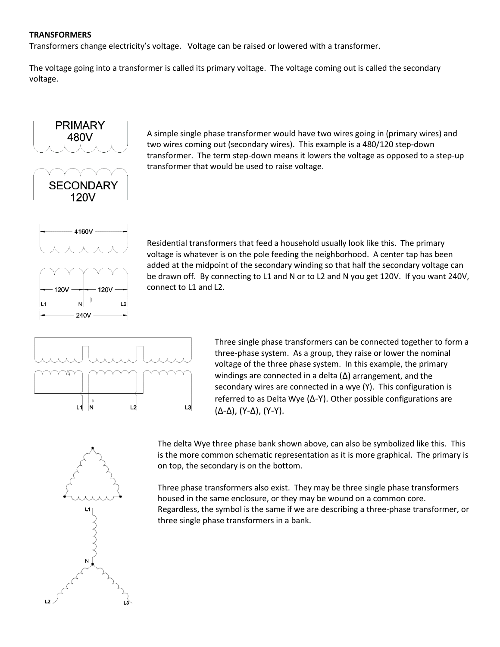#### **TRANSFORMERS**

Transformers change electricity's voltage. Voltage can be raised or lowered with a transformer.

The voltage going into a transformer is called its primary voltage. The voltage coming out is called the secondary voltage.



A simple single phase transformer would have two wires going in (primary wires) and two wires coming out (secondary wires). This example is a 480/120 step-down transformer. The term step-down means it lowers the voltage as opposed to a step-up transformer that would be used to raise voltage.



Residential transformers that feed a household usually look like this. The primary voltage is whatever is on the pole feeding the neighborhood. A center tap has been added at the midpoint of the secondary winding so that half the secondary voltage can be drawn off. By connecting to L1 and N or to L2 and N you get 120V. If you want 240V, connect to L1 and L2.



Three single phase transformers can be connected together to form a three-phase system. As a group, they raise or lower the nominal voltage of the three phase system. In this example, the primary windings are connected in a delta  $(\Delta)$  arrangement, and the secondary wires are connected in a wye (Y). This configuration is referred to as Delta Wye (Δ-Y). Other possible configurations are (Δ-Δ), (Y-Δ), (Y-Y).

The delta Wye three phase bank shown above, can also be symbolized like this. This is the more common schematic representation as it is more graphical. The primary is on top, the secondary is on the bottom.

Three phase transformers also exist. They may be three single phase transformers housed in the same enclosure, or they may be wound on a common core. Regardless, the symbol is the same if we are describing a three-phase transformer, or three single phase transformers in a bank.

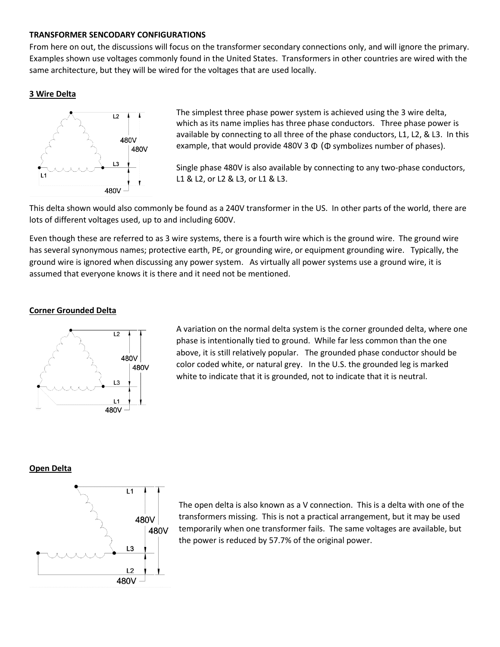#### **TRANSFORMER SENCODARY CONFIGURATIONS**

From here on out, the discussions will focus on the transformer secondary connections only, and will ignore the primary. Examples shown use voltages commonly found in the United States. Transformers in other countries are wired with the same architecture, but they will be wired for the voltages that are used locally.

# **3 Wire Delta**



The simplest three phase power system is achieved using the 3 wire delta, which as its name implies has three phase conductors. Three phase power is available by connecting to all three of the phase conductors, L1, L2, & L3. In this example, that would provide 480V 3  $\Phi$  ( $\Phi$  symbolizes number of phases).

Single phase 480V is also available by connecting to any two-phase conductors, L1 & L2, or L2 & L3, or L1 & L3.

This delta shown would also commonly be found as a 240V transformer in the US. In other parts of the world, there are lots of different voltages used, up to and including 600V.

Even though these are referred to as 3 wire systems, there is a fourth wire which is the ground wire. The ground wire has several synonymous names; protective earth, PE, or grounding wire, or equipment grounding wire. Typically, the ground wire is ignored when discussing any power system. As virtually all power systems use a ground wire, it is assumed that everyone knows it is there and it need not be mentioned.

# **Corner Grounded Delta**



A variation on the normal delta system is the corner grounded delta, where one phase is intentionally tied to ground. While far less common than the one above, it is still relatively popular. The grounded phase conductor should be color coded white, or natural grey. In the U.S. the grounded leg is marked white to indicate that it is grounded, not to indicate that it is neutral.

#### **Open Delta**



The open delta is also known as a V connection. This is a delta with one of the transformers missing. This is not a practical arrangement, but it may be used temporarily when one transformer fails. The same voltages are available, but the power is reduced by 57.7% of the original power.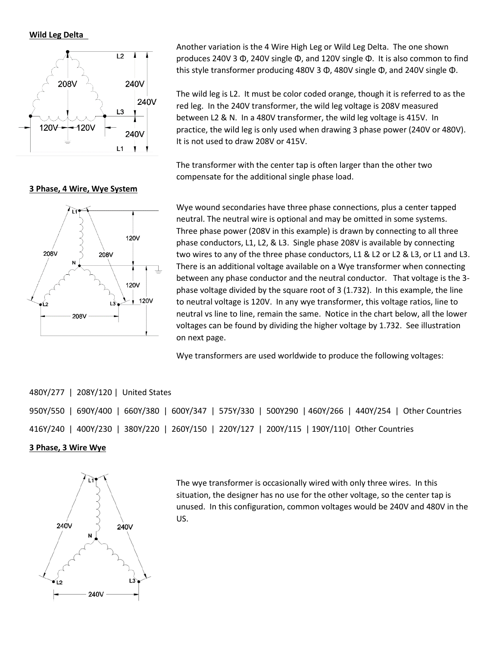**Wild Leg Delta** 



**3 Phase, 4 Wire, Wye System**

Another variation is the 4 Wire High Leg or Wild Leg Delta. The one shown produces 240V 3 Φ, 240V single Φ, and 120V single Φ. It is also common to find this style transformer producing 480V 3 Φ, 480V single Φ, and 240V single Φ.

The wild leg is L2. It must be color coded orange, though it is referred to as the red leg. In the 240V transformer, the wild leg voltage is 208V measured between L2 & N. In a 480V transformer, the wild leg voltage is 415V. In practice, the wild leg is only used when drawing 3 phase power (240V or 480V). It is not used to draw 208V or 415V.

The transformer with the center tap is often larger than the other two compensate for the additional single phase load.



Wye wound secondaries have three phase connections, plus a center tapped neutral. The neutral wire is optional and may be omitted in some systems. Three phase power (208V in this example) is drawn by connecting to all three phase conductors, L1, L2, & L3. Single phase 208V is available by connecting two wires to any of the three phase conductors, L1 & L2 or L2 & L3, or L1 and L3. There is an additional voltage available on a Wye transformer when connecting between any phase conductor and the neutral conductor. That voltage is the 3 phase voltage divided by the square root of 3 (1.732). In this example, the line to neutral voltage is 120V. In any wye transformer, this voltage ratios, line to neutral vs line to line, remain the same. Notice in the chart below, all the lower voltages can be found by dividing the higher voltage by 1.732. See illustration on next page.

Wye transformers are used worldwide to produce the following voltages:

# 480Y/277 | 208Y/120 | United States

950Y/550 | 690Y/400 | 660Y/380 | 600Y/347 | 575Y/330 | 500Y290 | 460Y/266 | 440Y/254 | Other Countries 416Y/240 | 400Y/230 | 380Y/220 | 260Y/150 | 220Y/127 | 200Y/115 | 190Y/110| Other Countries

# **3 Phase, 3 Wire Wye**



The wye transformer is occasionally wired with only three wires. In this situation, the designer has no use for the other voltage, so the center tap is unused. In this configuration, common voltages would be 240V and 480V in the US.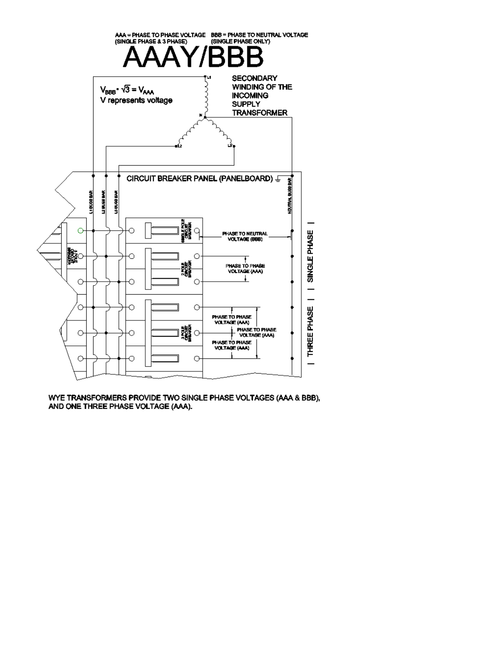

WYE TRANSFORMERS PROVIDE TWO SINGLE PHASE VOLTAGES (AAA & BBB), AND ONE THREE PHASE VOLTAGE (AAA).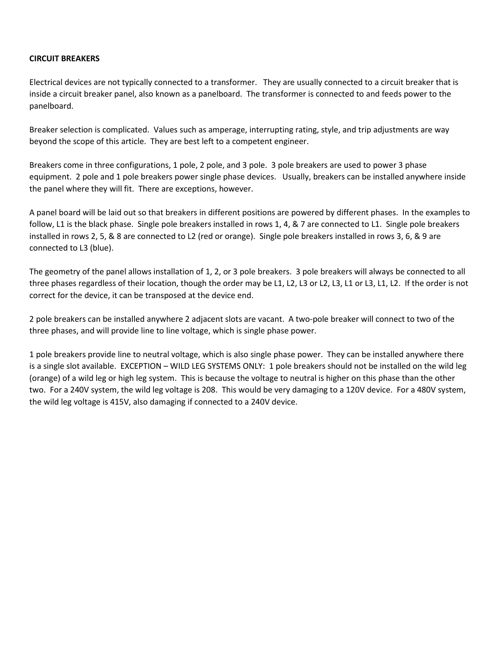# **CIRCUIT BREAKERS**

Electrical devices are not typically connected to a transformer. They are usually connected to a circuit breaker that is inside a circuit breaker panel, also known as a panelboard. The transformer is connected to and feeds power to the panelboard.

Breaker selection is complicated. Values such as amperage, interrupting rating, style, and trip adjustments are way beyond the scope of this article. They are best left to a competent engineer.

Breakers come in three configurations, 1 pole, 2 pole, and 3 pole. 3 pole breakers are used to power 3 phase equipment. 2 pole and 1 pole breakers power single phase devices. Usually, breakers can be installed anywhere inside the panel where they will fit. There are exceptions, however.

A panel board will be laid out so that breakers in different positions are powered by different phases. In the examples to follow, L1 is the black phase. Single pole breakers installed in rows 1, 4, & 7 are connected to L1. Single pole breakers installed in rows 2, 5, & 8 are connected to L2 (red or orange). Single pole breakers installed in rows 3, 6, & 9 are connected to L3 (blue).

The geometry of the panel allows installation of 1, 2, or 3 pole breakers. 3 pole breakers will always be connected to all three phases regardless of their location, though the order may be L1, L2, L3 or L2, L3, L1 or L3, L1, L2. If the order is not correct for the device, it can be transposed at the device end.

2 pole breakers can be installed anywhere 2 adjacent slots are vacant. A two-pole breaker will connect to two of the three phases, and will provide line to line voltage, which is single phase power.

1 pole breakers provide line to neutral voltage, which is also single phase power. They can be installed anywhere there is a single slot available. EXCEPTION – WILD LEG SYSTEMS ONLY: 1 pole breakers should not be installed on the wild leg (orange) of a wild leg or high leg system. This is because the voltage to neutral is higher on this phase than the other two. For a 240V system, the wild leg voltage is 208. This would be very damaging to a 120V device. For a 480V system, the wild leg voltage is 415V, also damaging if connected to a 240V device.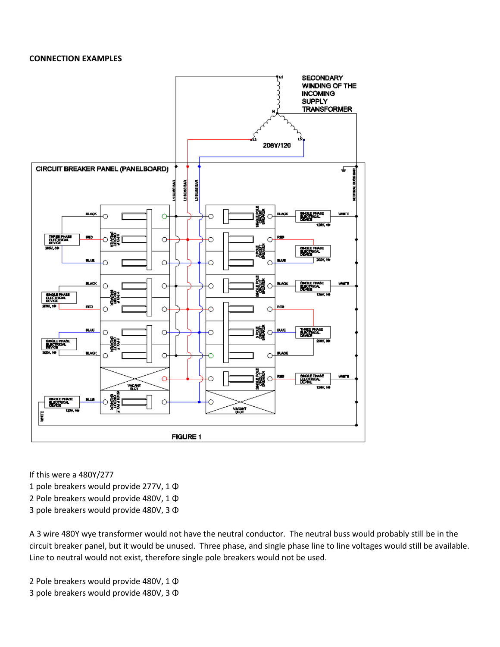#### **CONNECTION EXAMPLES**



If this were a 480Y/277

1 pole breakers would provide 277V, 1 Φ

2 Pole breakers would provide 480V, 1 Φ

3 pole breakers would provide 480V, 3 Φ

A 3 wire 480Y wye transformer would not have the neutral conductor. The neutral buss would probably still be in the circuit breaker panel, but it would be unused. Three phase, and single phase line to line voltages would still be available. Line to neutral would not exist, therefore single pole breakers would not be used.

2 Pole breakers would provide 480V, 1 Φ 3 pole breakers would provide 480V, 3 Φ